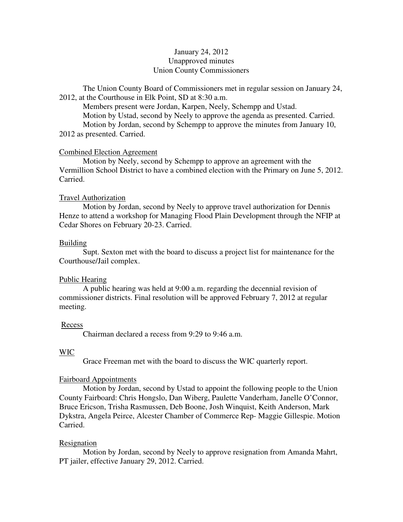# January 24, 2012 Unapproved minutes Union County Commissioners

The Union County Board of Commissioners met in regular session on January 24, 2012, at the Courthouse in Elk Point, SD at 8:30 a.m.

 Members present were Jordan, Karpen, Neely, Schempp and Ustad. Motion by Ustad, second by Neely to approve the agenda as presented. Carried. Motion by Jordan, second by Schempp to approve the minutes from January 10, 2012 as presented. Carried.

# Combined Election Agreement

 Motion by Neely, second by Schempp to approve an agreement with the Vermillion School District to have a combined election with the Primary on June 5, 2012. Carried.

# Travel Authorization

 Motion by Jordan, second by Neely to approve travel authorization for Dennis Henze to attend a workshop for Managing Flood Plain Development through the NFIP at Cedar Shores on February 20-23. Carried.

# Building

 Supt. Sexton met with the board to discuss a project list for maintenance for the Courthouse/Jail complex.

## Public Hearing

 A public hearing was held at 9:00 a.m. regarding the decennial revision of commissioner districts. Final resolution will be approved February 7, 2012 at regular meeting.

### Recess

Chairman declared a recess from 9:29 to 9:46 a.m.

## WIC

Grace Freeman met with the board to discuss the WIC quarterly report.

# Fairboard Appointments

 Motion by Jordan, second by Ustad to appoint the following people to the Union County Fairboard: Chris Hongslo, Dan Wiberg, Paulette Vanderham, Janelle O'Connor, Bruce Ericson, Trisha Rasmussen, Deb Boone, Josh Winquist, Keith Anderson, Mark Dykstra, Angela Peirce, Alcester Chamber of Commerce Rep- Maggie Gillespie. Motion Carried.

### Resignation

 Motion by Jordan, second by Neely to approve resignation from Amanda Mahrt, PT jailer, effective January 29, 2012. Carried.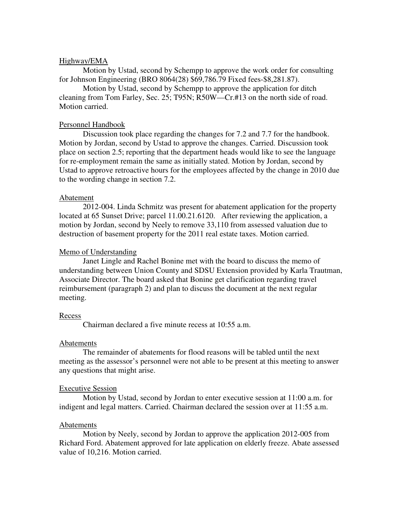# Highway/EMA

 Motion by Ustad, second by Schempp to approve the work order for consulting for Johnson Engineering (BRO 8064(28) \$69,786.79 Fixed fees-\$8,281.87).

 Motion by Ustad, second by Schempp to approve the application for ditch cleaning from Tom Farley, Sec. 25; T95N; R50W—Cr.#13 on the north side of road. Motion carried.

## Personnel Handbook

 Discussion took place regarding the changes for 7.2 and 7.7 for the handbook. Motion by Jordan, second by Ustad to approve the changes. Carried. Discussion took place on section 2.5; reporting that the department heads would like to see the language for re-employment remain the same as initially stated. Motion by Jordan, second by Ustad to approve retroactive hours for the employees affected by the change in 2010 due to the wording change in section 7.2.

### Abatement

2012-004. Linda Schmitz was present for abatement application for the property located at 65 Sunset Drive; parcel 11.00.21.6120. After reviewing the application, a motion by Jordan, second by Neely to remove 33,110 from assessed valuation due to destruction of basement property for the 2011 real estate taxes. Motion carried.

## Memo of Understanding

 Janet Lingle and Rachel Bonine met with the board to discuss the memo of understanding between Union County and SDSU Extension provided by Karla Trautman, Associate Director. The board asked that Bonine get clarification regarding travel reimbursement (paragraph 2) and plan to discuss the document at the next regular meeting.

### Recess

Chairman declared a five minute recess at 10:55 a.m.

### Abatements

 The remainder of abatements for flood reasons will be tabled until the next meeting as the assessor's personnel were not able to be present at this meeting to answer any questions that might arise.

### Executive Session

 Motion by Ustad, second by Jordan to enter executive session at 11:00 a.m. for indigent and legal matters. Carried. Chairman declared the session over at 11:55 a.m.

## Abatements

 Motion by Neely, second by Jordan to approve the application 2012-005 from Richard Ford. Abatement approved for late application on elderly freeze. Abate assessed value of 10,216. Motion carried.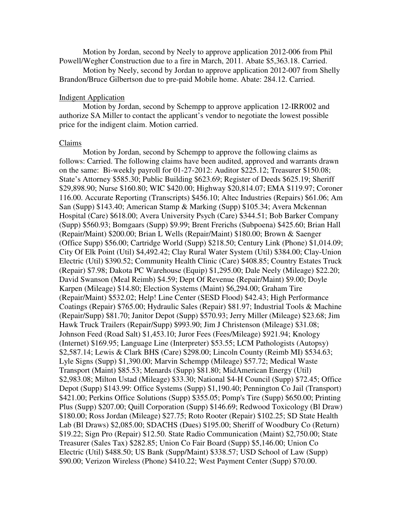Motion by Jordan, second by Neely to approve application 2012-006 from Phil Powell/Wegher Construction due to a fire in March, 2011. Abate \$5,363.18. Carried.

 Motion by Neely, second by Jordan to approve application 2012-007 from Shelly Brandon/Bruce Gilbertson due to pre-paid Mobile home. Abate: 284.12. Carried.

## Indigent Application

 Motion by Jordan, second by Schempp to approve application 12-IRR002 and authorize SA Miller to contact the applicant's vendor to negotiate the lowest possible price for the indigent claim. Motion carried.

#### Claims

 Motion by Jordan, second by Schempp to approve the following claims as follows: Carried. The following claims have been audited, approved and warrants drawn on the same: Bi-weekly payroll for 01-27-2012: Auditor \$225.12; Treasurer \$150.08; State's Attorney \$585.30; Public Building \$623.69; Register of Deeds \$625.19; Sheriff \$29,898.90; Nurse \$160.80; WIC \$420.00; Highway \$20,814.07; EMA \$119.97; Coroner 116.00. Accurate Reporting (Transcripts) \$456.10; Altec Industries (Repairs) \$61.06; Am San (Supp) \$143.40; American Stamp & Marking (Supp) \$105.34; Avera Mckennan Hospital (Care) \$618.00; Avera University Psych (Care) \$344.51; Bob Barker Company (Supp) \$560.93; Bomgaars (Supp) \$9.99; Brent Frerichs (Subpoena) \$425.60; Brian Hall (Repair/Maint) \$200.00; Brian L Wells (Repair/Maint) \$180.00; Brown & Saenger (Office Supp) \$56.00; Cartridge World (Supp) \$218.50; Century Link (Phone) \$1,014.09; City Of Elk Point (Util) \$4,492.42; Clay Rural Water System (Util) \$384.00; Clay-Union Electric (Util) \$390.52; Community Health Clinic (Care) \$408.85; Country Estates Truck (Repair) \$7.98; Dakota PC Warehouse (Equip) \$1,295.00; Dale Neely (Mileage) \$22.20; David Swanson (Meal Reimb) \$4.59; Dept Of Revenue (Repair/Maint) \$9.00; Doyle Karpen (Mileage) \$14.80; Election Systems (Maint) \$6,294.00; Graham Tire (Repair/Maint) \$532.02; Help! Line Center (SESD Flood) \$42.43; High Performance Coatings (Repair) \$765.00; Hydraulic Sales (Repair) \$81.97; Industrial Tools & Machine (Repair/Supp) \$81.70; Janitor Depot (Supp) \$570.93; Jerry Miller (Mileage) \$23.68; Jim Hawk Truck Trailers (Repair/Supp) \$993.90; Jim J Christenson (Mileage) \$31.08; Johnson Feed (Road Salt) \$1,453.10; Juror Fees (Fees/Mileage) \$921.94; Knology (Internet) \$169.95; Language Line (Interpreter) \$53.55; LCM Pathologists (Autopsy) \$2,587.14; Lewis & Clark BHS (Care) \$298.00; Lincoln County (Reimb MI) \$534.63; Lyle Signs (Supp) \$1,390.00; Marvin Schempp (Mileage) \$57.72; Medical Waste Transport (Maint) \$85.53; Menards (Supp) \$81.80; MidAmerican Energy (Util) \$2,983.08; Milton Ustad (Mileage) \$33.30; National \$4-H Council (Supp) \$72.45; Office Depot (Supp) \$143.99: Office Systems (Supp) \$1,190.40; Pennington Co Jail (Transport) \$421.00; Perkins Office Solutions (Supp) \$355.05; Pomp's Tire (Supp) \$650.00; Printing Plus (Supp) \$207.00; Quill Corporation (Supp) \$146.69; Redwood Toxicology (Bl Draw) \$180.00; Ross Jordan (Mileage) \$27.75; Roto Rooter (Repair) \$102.25; SD State Health Lab (Bl Draws) \$2,085.00; SDACHS (Dues) \$195.00; Sheriff of Woodbury Co (Return) \$19.22; Sign Pro (Repair) \$12.50. State Radio Communication (Maint) \$2,750.00; State Treasurer (Sales Tax) \$282.85; Union Co Fair Board (Supp) \$5,146.00; Union Co Electric (Util) \$488.50; US Bank (Supp/Maint) \$338.57; USD School of Law (Supp) \$90.00; Verizon Wireless (Phone) \$410.22; West Payment Center (Supp) \$70.00.